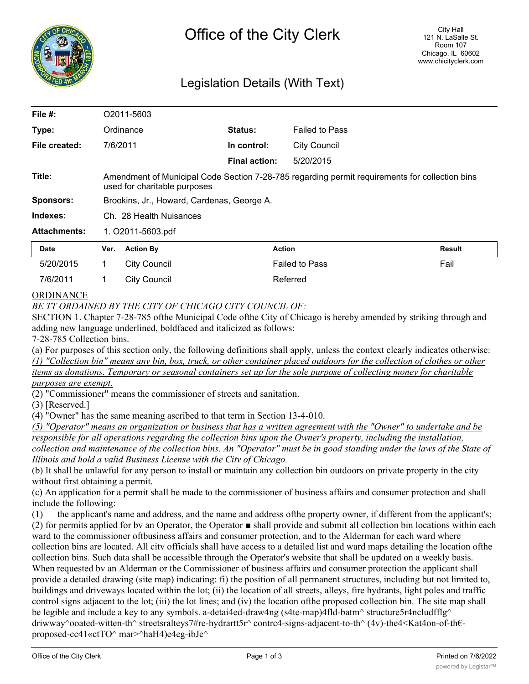

## Legislation Details (With Text)

| File $#$ :          | O <sub>2011</sub> -5603                                                                                                        |                     |                      |                       |        |
|---------------------|--------------------------------------------------------------------------------------------------------------------------------|---------------------|----------------------|-----------------------|--------|
| Type:               |                                                                                                                                | Ordinance           | <b>Status:</b>       | <b>Failed to Pass</b> |        |
| File created:       |                                                                                                                                | 7/6/2011            | In control:          | <b>City Council</b>   |        |
|                     |                                                                                                                                |                     | <b>Final action:</b> | 5/20/2015             |        |
| Title:              | Amendment of Municipal Code Section 7-28-785 regarding permit requirements for collection bins<br>used for charitable purposes |                     |                      |                       |        |
| <b>Sponsors:</b>    | Brookins, Jr., Howard, Cardenas, George A.                                                                                     |                     |                      |                       |        |
| Indexes:            | Ch. 28 Health Nuisances                                                                                                        |                     |                      |                       |        |
| <b>Attachments:</b> | 1. O2011-5603.pdf                                                                                                              |                     |                      |                       |        |
| <b>Date</b>         | Ver.                                                                                                                           | <b>Action By</b>    |                      | <b>Action</b>         | Result |
| 5/20/2015           | 1                                                                                                                              | <b>City Council</b> |                      | <b>Failed to Pass</b> | Fail   |
| 7/6/2011            |                                                                                                                                | <b>City Council</b> |                      | Referred              |        |

## ORDINANCE

*BE TT ORDAINED BY THE CITY OF CHICAGO CITY COUNCIL OF:*

SECTION 1. Chapter 7-28-785 ofthe Municipal Code ofthe City of Chicago is hereby amended by striking through and adding new language underlined, boldfaced and italicized as follows:

7-28-785 Collection bins.

(a) For purposes of this section only, the following definitions shall apply, unless the context clearly indicates otherwise: *(1) "Collection bin" means any bin, box, truck, or other container placed outdoors for the collection of clothes or other items as donations. Temporary or seasonal containers set up for the sole purpose of collecting money for charitable purposes are exempt.*

(2) "Commissioner" means the commissioner of streets and sanitation.

(3) [Reserved.]

(4) "Owner" has the same meaning ascribed to that term in Section 13-4-010.

*(5) "Operator" means an organization or business that has a written agreement with the "Owner" to undertake and be responsible for all operations regarding the collection bins upon the Owner's property, including the installation, collection and maintenance of the collection bins. An "Operator" must be in good standing under the laws of the State of Illinois and hold a valid Business License with the Citv of Chicago.*

(b) It shall be unlawful for any person to install or maintain any collection bin outdoors on private property in the city without first obtaining a permit.

(c) An application for a permit shall be made to the commissioner of business affairs and consumer protection and shall include the following:

(1) the applicant's name and address, and the name and address ofthe property owner, if different from the applicant's; (2) for permits applied for bv an Operator, the Operator ■ shall provide and submit all collection bin locations within each ward to the commissioner oftbusiness affairs and consumer protection, and to the Alderman for each ward where collection bins are located. All citv officials shall have access to a detailed list and ward maps detailing the location ofthe collection bins. Such data shall be accessible through the Operator's website that shall be updated on a weekly basis. When requested bv an Alderman or the Commissioner of business affairs and consumer protection the applicant shall provide a detailed drawing (site map) indicating: fi) the position of all permanent structures, including but not limited to, buildings and driveways located within the lot; (ii) the location of all streets, alleys, fire hydrants, light poles and traffic control signs adjacent to the lot; (iii) the lot lines; and (iv) the location ofthe proposed collection bin. The site map shall be legible and include a key to any symbols. a-detai4ed-draw4ng (s4te-map)4fld-batm^ structure5r4ncludfflg^ driwway^ooated-witten-th^ streetsralteys7#re-hydrartt5r^ contrc4-signs-adjacent-to-th^ (4v)-the4<Kat4on-of-th€ proposed-cc41«ctTO^ mar>^haH4)e4eg-ibJe^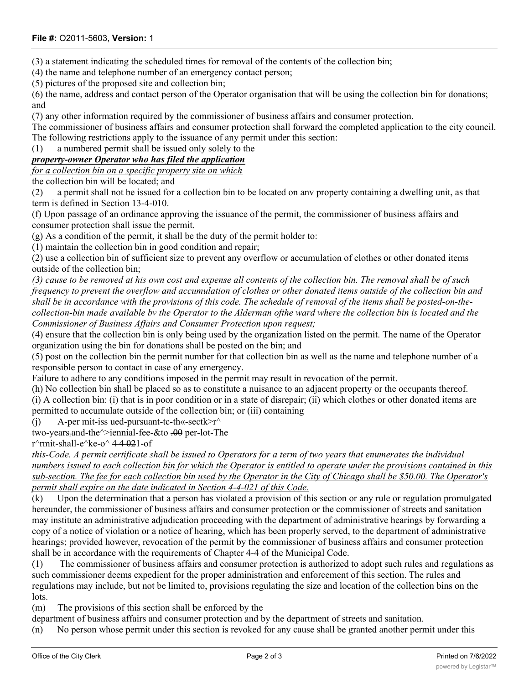## **File #:** O2011-5603, **Version:** 1

(3) a statement indicating the scheduled times for removal of the contents of the collection bin;

(4) the name and telephone number of an emergency contact person;

(5) pictures of the proposed site and collection bin;

(6) the name, address and contact person of the Operator organisation that will be using the collection bin for donations; and

(7) any other information required by the commissioner of business affairs and consumer protection.

The commissioner of business affairs and consumer protection shall forward the completed application to the city council. The following restrictions apply to the issuance of any permit under this section:

(1) a numbered permit shall be issued only solely to the

## *property-owner Operator who has filed the application*

*for a collection bin on a specific property site on which*

the collection bin will be located; and

(2) a permit shall not be issued for a collection bin to be located on anv property containing a dwelling unit, as that term is defined in Section 13-4-010.

(f) Upon passage of an ordinance approving the issuance of the permit, the commissioner of business affairs and consumer protection shall issue the permit.

(g) As a condition of the permit, it shall be the duty of the permit holder to:

(1) maintain the collection bin in good condition and repair;

(2) use a collection bin of sufficient size to prevent any overflow or accumulation of clothes or other donated items outside of the collection bin;

*(3) cause to be removed at his own cost and expense all contents of the collection bin. The removal shall be of such frequency to prevent the overflow and accumulation of clothes or other donated items outside of the collection bin and shall be in accordance with the provisions of this code. The schedule of removal of the items shall be posted-on-thecollection-bin made available bv the Operator to the Alderman ofthe ward where the collection bin is located and the Commissioner of Business Affairs and Consumer Protection upon request;*

(4) ensure that the collection bin is only being used by the organization listed on the permit. The name of the Operator organization using the bin for donations shall be posted on the bin; and

(5) post on the collection bin the permit number for that collection bin as well as the name and telephone number of a responsible person to contact in case of any emergency.

Failure to adhere to any conditions imposed in the permit may result in revocation of the permit.

(h) No collection bin shall be placed so as to constitute a nuisance to an adjacent property or the occupants thereof. (i) A collection bin: (i) that is in poor condition or in a state of disrepair; (ii) which clothes or other donated items are permitted to accumulate outside of the collection bin; or (iii) containing

(i) A-per mit-iss ued-pursuant-tc-th«-sectk>r $\land$ 

two-years<sub>r</sub>and-the<sup> $\land$ </sup>>iennial-fee-&to .00 per-lot-The

r $\text{r}$ rmit-shall-e $\text{r}$ ke-o $\text{r}$  4 4 021-of

*this-Code. A permit certificate shall be issued to Operators for a term of two years that enumerates the individual numbers issued to each collection bin for which the Operator is entitled to operate under the provisions contained in this sub-section. The fee for each collection bin used by the Operator in the City of Chicago shall be \$50.00. The Operator's permit shall expire on the date indicated in Section 4-4-021 of this Code.*

(k) Upon the determination that a person has violated a provision of this section or any rule or regulation promulgated hereunder, the commissioner of business affairs and consumer protection or the commissioner of streets and sanitation may institute an administrative adjudication proceeding with the department of administrative hearings by forwarding a copy of a notice of violation or a notice of hearing, which has been properly served, to the department of administrative hearings; provided however, revocation of the permit by the commissioner of business affairs and consumer protection shall be in accordance with the requirements of Chapter 4-4 of the Municipal Code.

(1) The commissioner of business affairs and consumer protection is authorized to adopt such rules and regulations as such commissioner deems expedient for the proper administration and enforcement of this section. The rules and regulations may include, but not be limited to, provisions regulating the size and location of the collection bins on the lots.

(m) The provisions of this section shall be enforced by the

department of business affairs and consumer protection and by the department of streets and sanitation.

(n) No person whose permit under this section is revoked for any cause shall be granted another permit under this